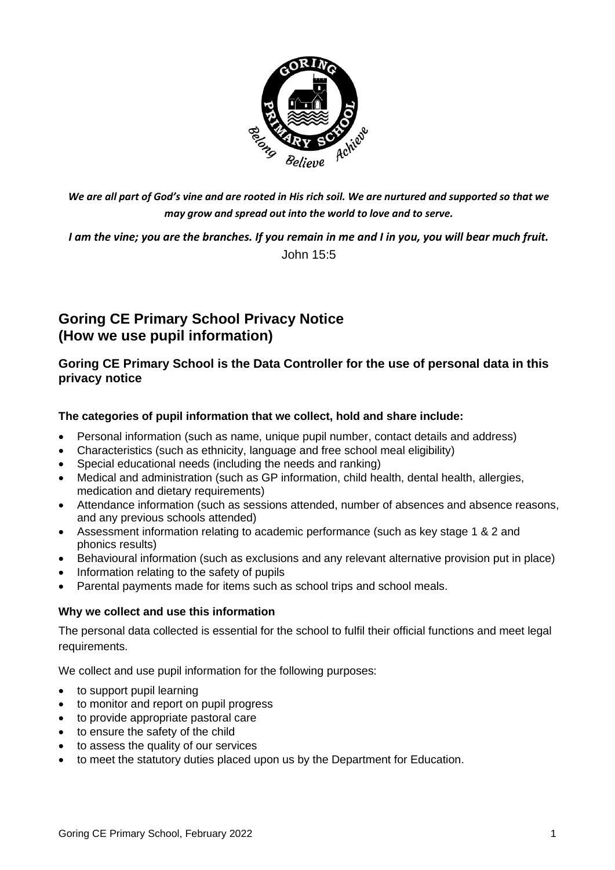

*We are all part of God's vine and are rooted in His rich soil. We are nurtured and supported so that we may grow and spread out into the world to love and to serve.*

*I am the vine; you are the branches. If you remain in me and I in you, you will bear much fruit.*  John 15:5

# **Goring CE Primary School Privacy Notice (How we use pupil information)**

**Goring CE Primary School is the Data Controller for the use of personal data in this privacy notice**

## **The categories of pupil information that we collect, hold and share include:**

- Personal information (such as name, unique pupil number, contact details and address)
- Characteristics (such as ethnicity, language and free school meal eligibility)
- Special educational needs (including the needs and ranking)
- Medical and administration (such as GP information, child health, dental health, allergies, medication and dietary requirements)
- Attendance information (such as sessions attended, number of absences and absence reasons, and any previous schools attended)
- Assessment information relating to academic performance (such as key stage 1 & 2 and phonics results)
- Behavioural information (such as exclusions and any relevant alternative provision put in place)
- Information relating to the safety of pupils
- Parental payments made for items such as school trips and school meals.

#### **Why we collect and use this information**

The personal data collected is essential for the school to fulfil their official functions and meet legal requirements.

We collect and use pupil information for the following purposes:

- to support pupil learning
- to monitor and report on pupil progress
- to provide appropriate pastoral care
- to ensure the safety of the child
- to assess the quality of our services
- to meet the statutory duties placed upon us by the Department for Education.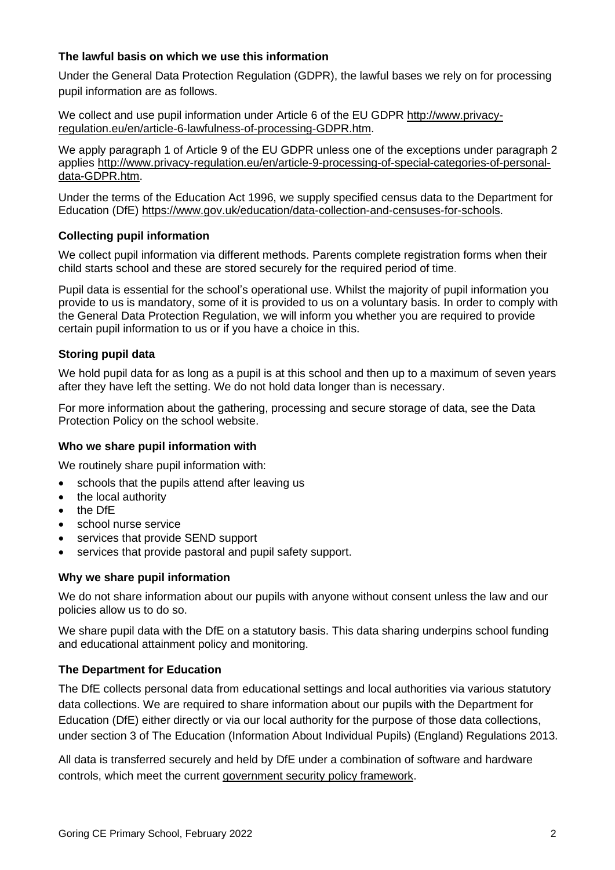## **The lawful basis on which we use this information**

Under the General Data Protection Regulation (GDPR), the lawful bases we rely on for processing pupil information are as follows.

We collect and use pupil information under Article 6 of the EU GDPR [http://www.privacy](http://www.privacy-regulation.eu/en/article-6-lawfulness-of-processing-GDPR.htm)[regulation.eu/en/article-6-lawfulness-of-processing-GDPR.htm.](http://www.privacy-regulation.eu/en/article-6-lawfulness-of-processing-GDPR.htm)

We apply paragraph 1 of Article 9 of the EU GDPR unless one of the exceptions under paragraph 2 applies [http://www.privacy-regulation.eu/en/article-9-processing-of-special-categories-of-personal](http://www.privacy-regulation.eu/en/article-9-processing-of-special-categories-of-personal-data-GDPR.htm)[data-GDPR.htm.](http://www.privacy-regulation.eu/en/article-9-processing-of-special-categories-of-personal-data-GDPR.htm)

Under the terms of the Education Act 1996, we supply specified census data to the Department for Education (DfE) [https://www.gov.uk/education/data-collection-and-censuses-for-schools.](https://www.gov.uk/education/data-collection-and-censuses-for-schools)

## **Collecting pupil information**

We collect pupil information via different methods. Parents complete registration forms when their child starts school and these are stored securely for the required period of time.

Pupil data is essential for the school's operational use. Whilst the majority of pupil information you provide to us is mandatory, some of it is provided to us on a voluntary basis. In order to comply with the General Data Protection Regulation, we will inform you whether you are required to provide certain pupil information to us or if you have a choice in this.

## **Storing pupil data**

We hold pupil data for as long as a pupil is at this school and then up to a maximum of seven years after they have left the setting. We do not hold data longer than is necessary.

For more information about the gathering, processing and secure storage of data, see the Data Protection Policy on the school website.

#### **Who we share pupil information with**

We routinely share pupil information with:

- schools that the pupils attend after leaving us
- the local authority
- the DfE
- school nurse service
- services that provide SEND support
- services that provide pastoral and pupil safety support.

#### **Why we share pupil information**

We do not share information about our pupils with anyone without consent unless the law and our policies allow us to do so.

We share pupil data with the DfE on a statutory basis. This data sharing underpins school funding and educational attainment policy and monitoring.

#### **The Department for Education**

The DfE collects personal data from educational settings and local authorities via various statutory data collections. We are required to share information about our pupils with the Department for Education (DfE) either directly or via our local authority for the purpose of those data collections, under section 3 of The Education (Information About Individual Pupils) (England) Regulations 2013.

All data is transferred securely and held by DfE under a combination of software and hardware controls, which meet the current [government security policy framework.](https://www.gov.uk/government/publications/security-policy-framework)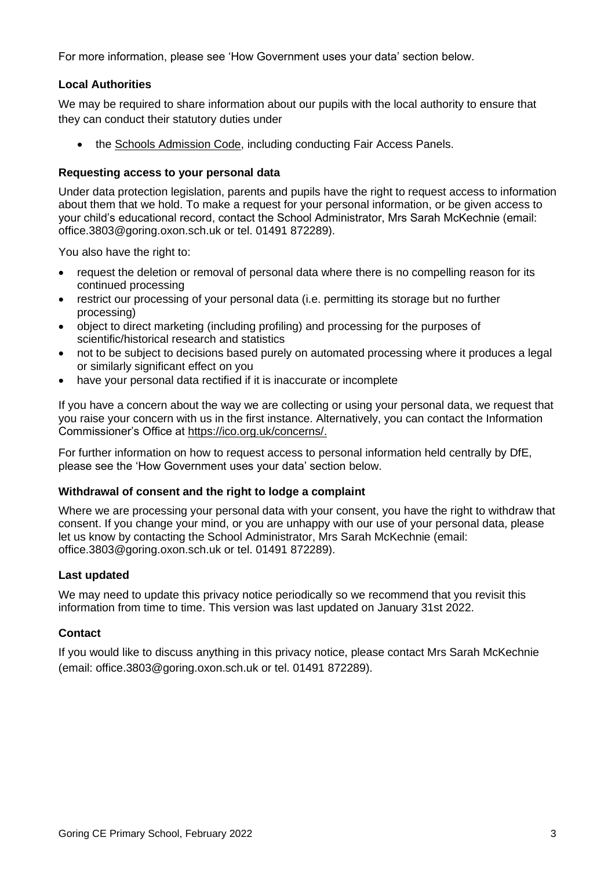For more information, please see 'How Government uses your data' section below.

## **Local Authorities**

We may be required to share information about our pupils with the local authority to ensure that they can conduct their statutory duties under

• the [Schools Admission Code,](https://www.gov.uk/government/publications/school-admissions-code--2) including conducting Fair Access Panels.

## **Requesting access to your personal data**

Under data protection legislation, parents and pupils have the right to request access to information about them that we hold. To make a request for your personal information, or be given access to your child's educational record, contact the School Administrator, Mrs Sarah McKechnie (email: office.3803@goring.oxon.sch.uk or tel. 01491 872289).

You also have the right to:

- request the deletion or removal of personal data where there is no compelling reason for its continued processing
- restrict our processing of your personal data (i.e. permitting its storage but no further processing)
- object to direct marketing (including profiling) and processing for the purposes of scientific/historical research and statistics
- not to be subject to decisions based purely on automated processing where it produces a legal or similarly significant effect on you
- have your personal data rectified if it is inaccurate or incomplete

If you have a concern about the way we are collecting or using your personal data, we request that you raise your concern with us in the first instance. Alternatively, you can contact the Information Commissioner's Office at [https://ico.org.uk/concerns/.](https://ico.org.uk/concerns/)

For further information on how to request access to personal information held centrally by DfE, please see the 'How Government uses your data' section below.

#### **Withdrawal of consent and the right to lodge a complaint**

Where we are processing your personal data with your consent, you have the right to withdraw that consent. If you change your mind, or you are unhappy with our use of your personal data, please let us know by contacting the School Administrator, Mrs Sarah McKechnie (email: office.3803@goring.oxon.sch.uk or tel. 01491 872289).

#### **Last updated**

We may need to update this privacy notice periodically so we recommend that you revisit this information from time to time. This version was last updated on January 31st 2022.

#### **Contact**

If you would like to discuss anything in this privacy notice, please contact Mrs Sarah McKechnie (email: office.3803@goring.oxon.sch.uk or tel. 01491 872289).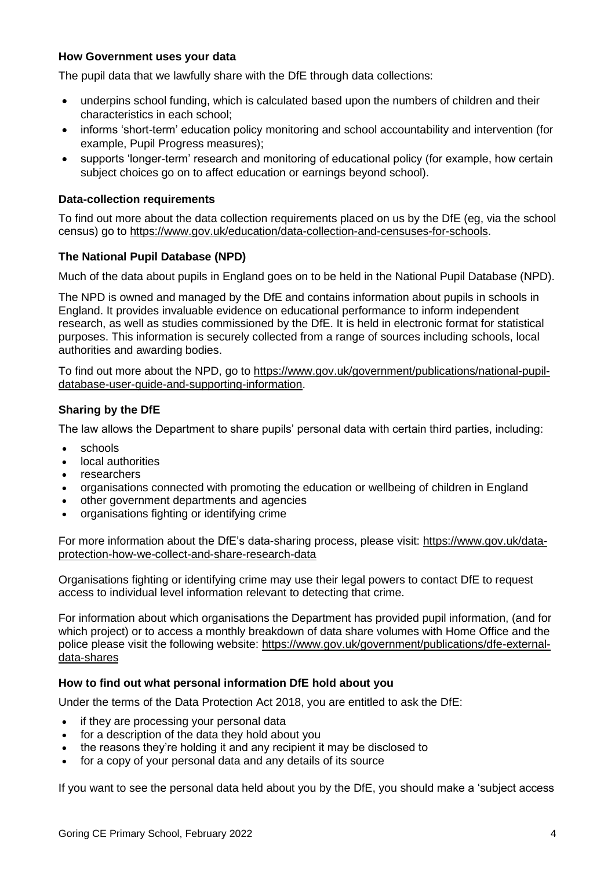#### **How Government uses your data**

The pupil data that we lawfully share with the DfE through data collections:

- underpins school funding, which is calculated based upon the numbers of children and their characteristics in each school;
- informs 'short-term' education policy monitoring and school accountability and intervention (for example, Pupil Progress measures);
- supports 'longer-term' research and monitoring of educational policy (for example, how certain subject choices go on to affect education or earnings beyond school).

#### **Data-collection requirements**

To find out more about the data collection requirements placed on us by the DfE (eg, via the school census) go to [https://www.gov.uk/education/data-collection-and-censuses-for-schools.](https://www.gov.uk/education/data-collection-and-censuses-for-schools)

## **The National Pupil Database (NPD)**

Much of the data about pupils in England goes on to be held in the National Pupil Database (NPD).

The NPD is owned and managed by the DfE and contains information about pupils in schools in England. It provides invaluable evidence on educational performance to inform independent research, as well as studies commissioned by the DfE. It is held in electronic format for statistical purposes. This information is securely collected from a range of sources including schools, local authorities and awarding bodies.

To find out more about the NPD, go to [https://www.gov.uk/government/publications/national-pupil](https://www.gov.uk/government/publications/national-pupil-database-user-guide-and-supporting-information)[database-user-guide-and-supporting-information.](https://www.gov.uk/government/publications/national-pupil-database-user-guide-and-supporting-information)

## **Sharing by the DfE**

The law allows the Department to share pupils' personal data with certain third parties, including:

- schools
- local authorities
- researchers
- organisations connected with promoting the education or wellbeing of children in England
- other government departments and agencies
- organisations fighting or identifying crime

For more information about the DfE's data-sharing process, please visit: [https://www.gov.uk/data](https://www.gov.uk/data-protection-how-we-collect-and-share-research-data)[protection-how-we-collect-and-share-research-data](https://www.gov.uk/data-protection-how-we-collect-and-share-research-data)

Organisations fighting or identifying crime may use their legal powers to contact DfE to request access to individual level information relevant to detecting that crime.

For information about which organisations the Department has provided pupil information, (and for which project) or to access a monthly breakdown of data share volumes with Home Office and the police please visit the following website: [https://www.gov.uk/government/publications/dfe-external](https://www.gov.uk/government/publications/dfe-external-data-shares)[data-shares](https://www.gov.uk/government/publications/dfe-external-data-shares)

## **How to find out what personal information DfE hold about you**

Under the terms of the Data Protection Act 2018, you are entitled to ask the DfE:

- if they are processing your personal data
- for a description of the data they hold about you
- the reasons they're holding it and any recipient it may be disclosed to
- for a copy of your personal data and any details of its source

If you want to see the personal data held about you by the DfE, you should make a 'subject access